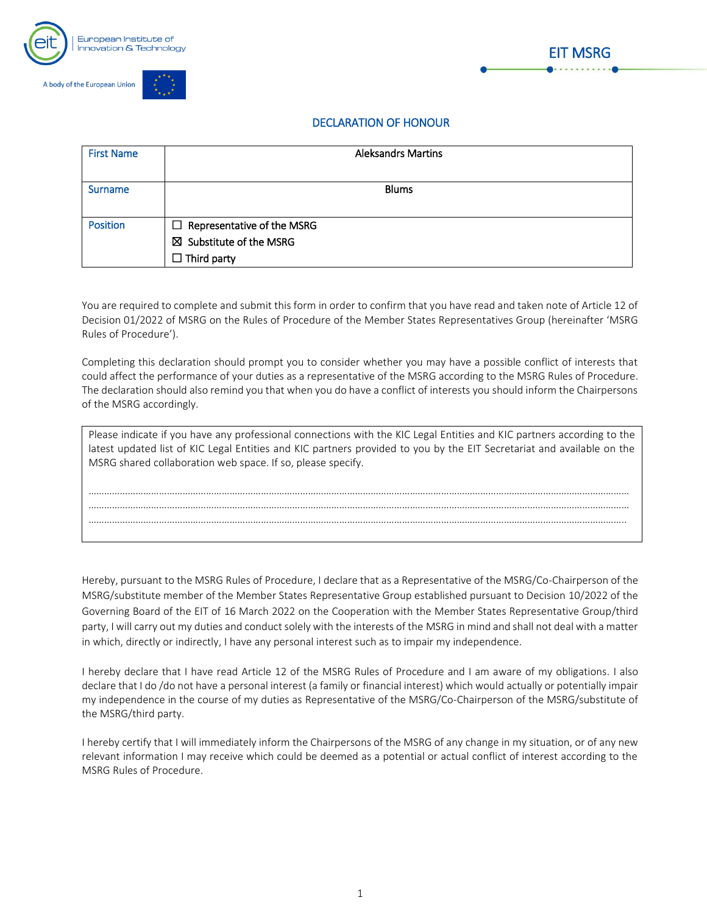





## DECLARATION OF HONOUR

| <b>First Name</b> | <b>Aleksandrs Martins</b>          |  |
|-------------------|------------------------------------|--|
|                   |                                    |  |
| <b>Surname</b>    | <b>Blums</b>                       |  |
|                   |                                    |  |
| <b>Position</b>   | $\Box$ Representative of the MSRG  |  |
|                   | $\boxtimes$ Substitute of the MSRG |  |
|                   | $\Box$ Third party                 |  |

You are required to complete and submit this form in order to confirm that you have read and taken note of Article 12 of Decision 01/2022 of MSRG on the Rules of Procedure of the Member States Representatives Group (hereinafter 'MSRG Rules of Procedure').

Completing this declaration should prompt you to consider whether you may have a possible conflict of interests that could affect the performance of your duties as a representative of the MSRG according to the MSRG Rules of Procedure. The declaration should also remind you that when you do have a conflict of interests you should inform the Chairpersons of the MSRG accordingly.

| Please indicate if you have any professional connections with the KIC Legal Entities and KIC partners according to the<br>latest updated list of KIC Legal Entities and KIC partners provided to you by the EIT Secretariat and available on the<br>MSRG shared collaboration web space. If so, please specify. |  |  |  |
|-----------------------------------------------------------------------------------------------------------------------------------------------------------------------------------------------------------------------------------------------------------------------------------------------------------------|--|--|--|
|                                                                                                                                                                                                                                                                                                                 |  |  |  |
|                                                                                                                                                                                                                                                                                                                 |  |  |  |
|                                                                                                                                                                                                                                                                                                                 |  |  |  |
|                                                                                                                                                                                                                                                                                                                 |  |  |  |
|                                                                                                                                                                                                                                                                                                                 |  |  |  |

Hereby, pursuant to the MSRG Rules of Procedure, I declare that as a Representative of the MSRG/Co-Chairperson of the MSRG/substitute member of the Member States Representative Group established pursuant to Decision 10/2022 of the Governing Board of the EIT of 16 March 2022 on the Cooperation with the Member States Representative Group/third party, I will carry out my duties and conduct solely with the interests of the MSRG in mind and shall not deal with a matter in which, directly or indirectly, I have any personal interest such as to impair my independence.

I hereby declare that I have read Article 12 of the MSRG Rules of Procedure and I am aware of my obligations. I also declare that I do /do not have a personal interest (a family or financial interest) which would actually or potentially impair my independence in the course of my duties as Representative of the MSRG/Co-Chairperson of the MSRG/substitute of the MSRG/third party.

I hereby certify that I will immediately inform the Chairpersons of the MSRG of any change in my situation, or of any new relevant information I may receive which could be deemed as a potential or actual conflict of interest according to the MSRG Rules of Procedure.